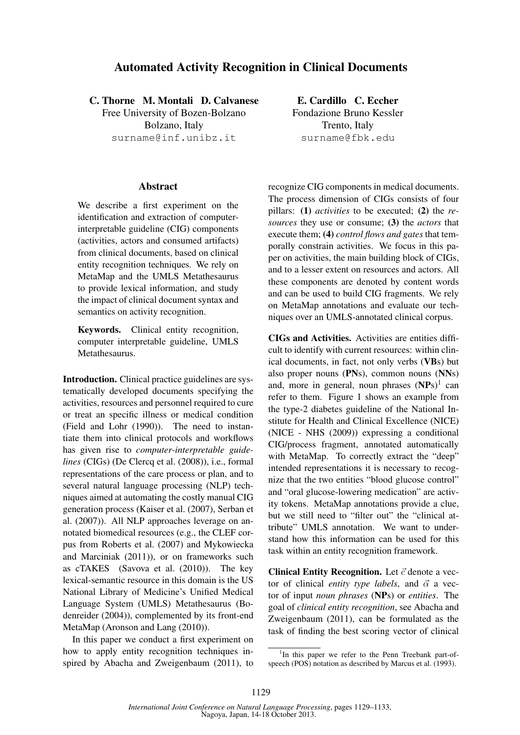## Automated Activity Recognition in Clinical Documents

C. Thorne M. Montali D. Calvanese

Free University of Bozen-Bolzano Bolzano, Italy surname@inf.unibz.it

## Abstract

We describe a first experiment on the identification and extraction of computerinterpretable guideline (CIG) components (activities, actors and consumed artifacts) from clinical documents, based on clinical entity recognition techniques. We rely on MetaMap and the UMLS Metathesaurus to provide lexical information, and study the impact of clinical document syntax and semantics on activity recognition.

Keywords. Clinical entity recognition, computer interpretable guideline, UMLS Metathesaurus.

Introduction. Clinical practice guidelines are systematically developed documents specifying the activities, resources and personnel required to cure or treat an specific illness or medical condition (Field and Lohr (1990)). The need to instantiate them into clinical protocols and workflows has given rise to *computer-interpretable guidelines* (CIGs) (De Clercq et al. (2008)), i.e., formal representations of the care process or plan, and to several natural language processing (NLP) techniques aimed at automating the costly manual CIG generation process (Kaiser et al. (2007), Serban et al. (2007)). All NLP approaches leverage on annotated biomedical resources (e.g., the CLEF corpus from Roberts et al. (2007) and Mykowiecka and Marciniak (2011)), or on frameworks such as cTAKES (Savova et al. (2010)). The key lexical-semantic resource in this domain is the US National Library of Medicine's Unified Medical Language System (UMLS) Metathesaurus (Bodenreider (2004)), complemented by its front-end MetaMap (Aronson and Lang (2010)).

In this paper we conduct a first experiment on how to apply entity recognition techniques inspired by Abacha and Zweigenbaum (2011), to

E. Cardillo C. Eccher Fondazione Bruno Kessler Trento, Italy surname@fbk.edu

recognize CIG components in medical documents. The process dimension of CIGs consists of four pillars: (1) *activities* to be executed; (2) the *resources* they use or consume; (3) the *actors* that execute them; (4) *control flows and gates* that temporally constrain activities. We focus in this paper on activities, the main building block of CIGs, and to a lesser extent on resources and actors. All these components are denoted by content words and can be used to build CIG fragments. We rely on MetaMap annotations and evaluate our techniques over an UMLS-annotated clinical corpus.

CIGs and Activities. Activities are entities difficult to identify with current resources: within clinical documents, in fact, not only verbs (VBs) but also proper nouns (PNs), common nouns (NNs) and, more in general, noun phrases  $(NPs)^1$  can refer to them. Figure 1 shows an example from the type-2 diabetes guideline of the National Institute for Health and Clinical Excellence (NICE) (NICE - NHS (2009)) expressing a conditional CIG/process fragment, annotated automatically with MetaMap. To correctly extract the "deep" intended representations it is necessary to recognize that the two entities "blood glucose control" and "oral glucose-lowering medication" are activity tokens. MetaMap annotations provide a clue, but we still need to "filter out" the "clinical attribute" UMLS annotation. We want to understand how this information can be used for this task within an entity recognition framework.

Clinical Entity Recognition. Let  $\vec{c}$  denote a vector of clinical *entity type labels*, and  $\vec{\alpha}$  a vector of input *noun phrases* (NPs) or *entities*. The goal of *clinical entity recognition*, see Abacha and Zweigenbaum (2011), can be formulated as the task of finding the best scoring vector of clinical

<sup>&</sup>lt;sup>1</sup>In this paper we refer to the Penn Treebank part-ofspeech (POS) notation as described by Marcus et al. (1993).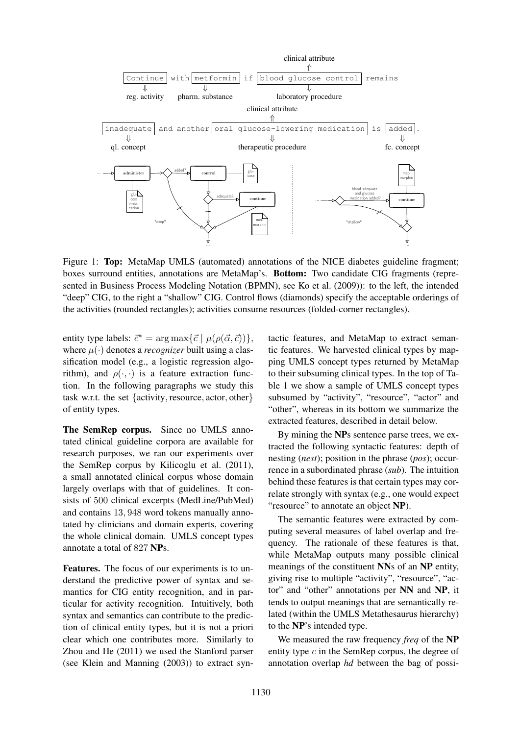

Figure 1: Top: MetaMap UMLS (automated) annotations of the NICE diabetes guideline fragment; boxes surround entities, annotations are MetaMap's. Bottom: Two candidate CIG fragments (represented in Business Process Modeling Notation (BPMN), see Ko et al. (2009)): to the left, the intended "deep" CIG, to the right a "shallow" CIG. Control flows (diamonds) specify the acceptable orderings of the activities (rounded rectangles); activities consume resources (folded-corner rectangles).

entity type labels:  $\vec{c}^* = \arg \max{\{\vec{c} \mid \mu(\rho(\vec{\alpha}, \vec{c}))\}},$ where  $\mu(\cdot)$  denotes a *recognizer* built using a classification model (e.g., a logistic regression algorithm), and  $\rho(\cdot, \cdot)$  is a feature extraction function. In the following paragraphs we study this task w.r.t. the set {activity, resource, actor, other} of entity types.

The SemRep corpus. Since no UMLS annotated clinical guideline corpora are available for research purposes, we ran our experiments over the SemRep corpus by Kilicoglu et al. (2011), a small annotated clinical corpus whose domain largely overlaps with that of guidelines. It consists of 500 clinical excerpts (MedLine/PubMed) and contains 13, 948 word tokens manually annotated by clinicians and domain experts, covering the whole clinical domain. UMLS concept types annotate a total of 827 NPs.

Features. The focus of our experiments is to understand the predictive power of syntax and semantics for CIG entity recognition, and in particular for activity recognition. Intuitively, both syntax and semantics can contribute to the prediction of clinical entity types, but it is not a priori clear which one contributes more. Similarly to Zhou and He (2011) we used the Stanford parser (see Klein and Manning (2003)) to extract syntactic features, and MetaMap to extract semantic features. We harvested clinical types by mapping UMLS concept types returned by MetaMap to their subsuming clinical types. In the top of Table 1 we show a sample of UMLS concept types subsumed by "activity", "resource", "actor" and "other", whereas in its bottom we summarize the extracted features, described in detail below.

By mining the NPs sentence parse trees, we extracted the following syntactic features: depth of nesting (*nest*); position in the phrase (*pos*); occurrence in a subordinated phrase (*sub*). The intuition behind these features is that certain types may correlate strongly with syntax (e.g., one would expect "resource" to annotate an object NP).

The semantic features were extracted by computing several measures of label overlap and frequency. The rationale of these features is that, while MetaMap outputs many possible clinical meanings of the constituent NNs of an NP entity, giving rise to multiple "activity", "resource", "actor" and "other" annotations per NN and NP, it tends to output meanings that are semantically related (within the UMLS Metathesaurus hierarchy) to the NP's intended type.

We measured the raw frequency *freq* of the NP entity type  $c$  in the SemRep corpus, the degree of annotation overlap *hd* between the bag of possi-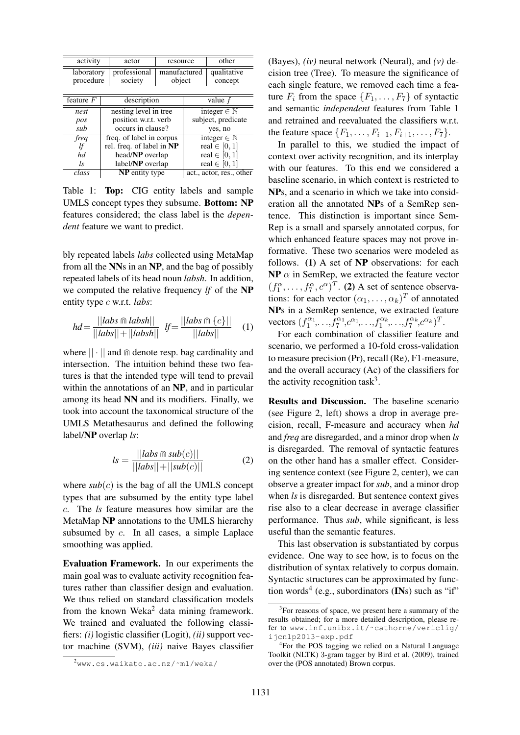| activity                | actor                     | resource               |                          | other                  |  |
|-------------------------|---------------------------|------------------------|--------------------------|------------------------|--|
| laboratory<br>procedure | professional<br>society   | manufactured<br>object |                          | qualitative<br>concept |  |
| feature $F$             | description               |                        | value $f$                |                        |  |
| nest                    | nesting level in tree     |                        | integer $\in \mathbb{N}$ |                        |  |
| pos                     | position w.r.t. verb      |                        | subject, predicate       |                        |  |
| sub                     | occurs in clause?         |                        | yes, no                  |                        |  |
| freq                    | freq. of label in corpus  |                        | integer $\in \mathbb{N}$ |                        |  |
| lf                      | rel. freq. of label in NP |                        | real $\in [0,1]$         |                        |  |
| hd                      | head/NP overlap           |                        | real $\in [0, 1]$        |                        |  |
| ls.                     | label/NP overlap          |                        | real $\in [0,1]$         |                        |  |
| class                   | <b>NP</b> entity type     |                        | act., actor, res., other |                        |  |

Table 1: **Top:** CIG entity labels and sample UMLS concept types they subsume. Bottom: NP features considered; the class label is the *dependent* feature we want to predict.

bly repeated labels *labs* collected using MetaMap from all the NNs in an NP, and the bag of possibly repeated labels of its head noun *labsh*. In addition, we computed the relative frequency *lf* of the NP entity type c w.r.t. *labs*:

$$
hd = \frac{|||abs \cap |absh||}{|||abs|| + |||absh||} \quad \text{If} = \frac{|||abs \cap \{c\}||}{|||abs||} \quad (1)
$$

where  $|| \cdot ||$  and  $\cap$  denote resp. bag cardinality and intersection. The intuition behind these two features is that the intended type will tend to prevail within the annotations of an NP, and in particular among its head NN and its modifiers. Finally, we took into account the taxonomical structure of the UMLS Metathesaurus and defined the following label/NP overlap *ls*:

$$
ls = \frac{||\text{labs} \cap \text{sub}(c)||}{||\text{labs}|| + ||\text{sub}(c)||} \tag{2}
$$

where  $sub(c)$  is the bag of all the UMLS concept types that are subsumed by the entity type label c. The *ls* feature measures how similar are the MetaMap NP annotations to the UMLS hierarchy subsumed by c. In all cases, a simple Laplace smoothing was applied.

Evaluation Framework. In our experiments the main goal was to evaluate activity recognition features rather than classifier design and evaluation. We thus relied on standard classification models from the known Weka<sup>2</sup> data mining framework. We trained and evaluated the following classifiers: *(i)* logistic classifier (Logit), *(ii)* support vector machine (SVM), *(iii)* naive Bayes classifier (Bayes), *(iv)* neural network (Neural), and *(v)* decision tree (Tree). To measure the significance of each single feature, we removed each time a feature  $F_i$  from the space  $\{F_1, \ldots, F_7\}$  of syntactic and semantic *independent* features from Table 1 and retrained and reevaluated the classifiers w.r.t. the feature space  $\{F_1, \ldots, F_{i-1}, F_{i+1}, \ldots, F_7\}.$ 

In parallel to this, we studied the impact of context over activity recognition, and its interplay with our features. To this end we considered a baseline scenario, in which context is restricted to NPs, and a scenario in which we take into consideration all the annotated NPs of a SemRep sentence. This distinction is important since Sem-Rep is a small and sparsely annotated corpus, for which enhanced feature spaces may not prove informative. These two scenarios were modeled as follows. (1) A set of NP observations: for each  $NP \alpha$  in SemRep, we extracted the feature vector  $(f_1^{\alpha}, \ldots, f_7^{\alpha}, c^{\alpha})^T$ . (2) A set of sentence observations: for each vector  $(\alpha_1, \dots, \alpha_k)^T$  of annotated NPs in a SemRep sentence, we extracted feature vectors  $(f_1^{\alpha_1},...,f_7^{\alpha_1},c^{\alpha_1},...,f_1^{\alpha_k},...,f_7^{\alpha_k},c^{\alpha_k})^T$ .

For each combination of classifier feature and scenario, we performed a 10-fold cross-validation to measure precision (Pr), recall (Re), F1-measure, and the overall accuracy (Ac) of the classifiers for the activity recognition task<sup>3</sup>.

Results and Discussion. The baseline scenario (see Figure 2, left) shows a drop in average precision, recall, F-measure and accuracy when *hd* and *freq* are disregarded, and a minor drop when *ls* is disregarded. The removal of syntactic features on the other hand has a smaller effect. Considering sentence context (see Figure 2, center), we can observe a greater impact for *sub*, and a minor drop when *ls* is disregarded. But sentence context gives rise also to a clear decrease in average classifier performance. Thus *sub*, while significant, is less useful than the semantic features.

This last observation is substantiated by corpus evidence. One way to see how, is to focus on the distribution of syntax relatively to corpus domain. Syntactic structures can be approximated by function words<sup>4</sup> (e.g., subordinators  $(INs)$  such as "if"

<sup>2</sup>www.cs.waikato.ac.nz/˜ml/weka/

<sup>&</sup>lt;sup>3</sup>For reasons of space, we present here a summary of the results obtained; for a more detailed description, please refer to www.inf.unibz.it/˜cathorne/vericlig/ ijcnlp2013-exp.pdf

<sup>4</sup> For the POS tagging we relied on a Natural Language Toolkit (NLTK) 3-gram tagger by Bird et al. (2009), trained over the (POS annotated) Brown corpus.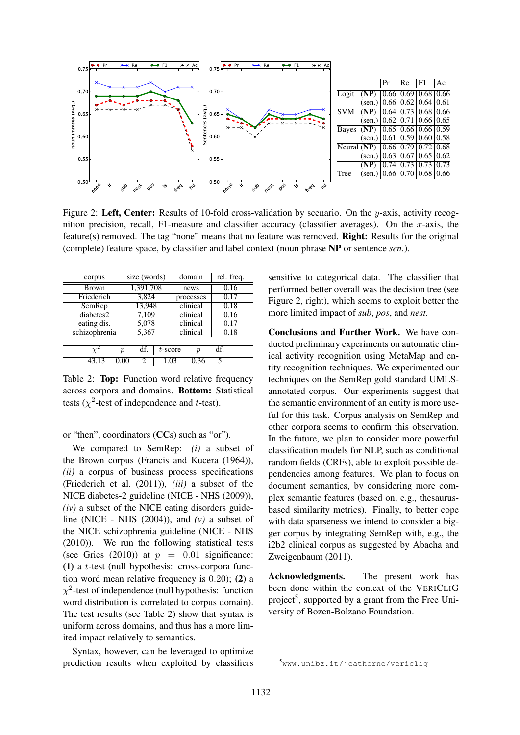

Figure 2: Left, Center: Results of 10-fold cross-validation by scenario. On the y-axis, activity recognition precision, recall, F1-measure and classifier accuracy (classifier averages). On the  $x$ -axis, the feature(s) removed. The tag "none" means that no feature was removed. Right: Results for the original (complete) feature space, by classifier and label context (noun phrase NP or sentence *sen.*).

| corpus        |                  | size (words)   |            | domain    |                  | rel. freq. |  |  |  |
|---------------|------------------|----------------|------------|-----------|------------------|------------|--|--|--|
| <b>Brown</b>  |                  | 1,391,708      |            | news      |                  | 0.16       |  |  |  |
| Friederich    |                  | 3,824          |            | processes |                  | 0.17       |  |  |  |
| SemRep        |                  | 13,948         |            | clinical  |                  | 0.18       |  |  |  |
| diabetes2     |                  | 7,109          |            | clinical  |                  | 0.16       |  |  |  |
| eating dis.   |                  | 5,078          |            | clinical  |                  | 0.17       |  |  |  |
| schizophrenia |                  | 5,367          |            | clinical  |                  | 0.18       |  |  |  |
|               |                  |                |            |           |                  |            |  |  |  |
|               | $\boldsymbol{v}$ | df.            | $t$ -score |           | $\boldsymbol{p}$ | df.        |  |  |  |
| 43.13         | 0.00             | $\mathfrak{D}$ | 1.03       |           | 0.36             | 5          |  |  |  |

Table 2: Top: Function word relative frequency across corpora and domains. Bottom: Statistical tests ( $\chi^2$ -test of independence and t-test).

or "then", coordinators (CCs) such as "or").

We compared to SemRep: *(i)* a subset of the Brown corpus (Francis and Kucera (1964)), *(ii)* a corpus of business process specifications (Friederich et al. (2011)), *(iii)* a subset of the NICE diabetes-2 guideline (NICE - NHS (2009)), *(iv)* a subset of the NICE eating disorders guideline (NICE - NHS (2004)), and *(v)* a subset of the NICE schizophrenia guideline (NICE - NHS (2010)). We run the following statistical tests (see Gries (2010)) at  $p = 0.01$  significance: (1) a  $t$ -test (null hypothesis: cross-corpora function word mean relative frequency is 0.20); (2) a  $\chi^2$ -test of independence (null hypothesis: function word distribution is correlated to corpus domain). The test results (see Table 2) show that syntax is uniform across domains, and thus has a more limited impact relatively to semantics.

Syntax, however, can be leveraged to optimize prediction results when exploited by classifiers

sensitive to categorical data. The classifier that performed better overall was the decision tree (see Figure 2, right), which seems to exploit better the more limited impact of *sub*, *pos*, and *nest*.

Conclusions and Further Work. We have conducted preliminary experiments on automatic clinical activity recognition using MetaMap and entity recognition techniques. We experimented our techniques on the SemRep gold standard UMLSannotated corpus. Our experiments suggest that the semantic environment of an entity is more useful for this task. Corpus analysis on SemRep and other corpora seems to confirm this observation. In the future, we plan to consider more powerful classification models for NLP, such as conditional random fields (CRFs), able to exploit possible dependencies among features. We plan to focus on document semantics, by considering more complex semantic features (based on, e.g., thesaurusbased similarity metrics). Finally, to better cope with data sparseness we intend to consider a bigger corpus by integrating SemRep with, e.g., the i2b2 clinical corpus as suggested by Abacha and Zweigenbaum (2011).

Acknowledgments. The present work has been done within the context of the VERICLIG project<sup>5</sup>, supported by a grant from the Free University of Bozen-Bolzano Foundation.

<sup>5</sup>www.unibz.it/˜cathorne/vericlig